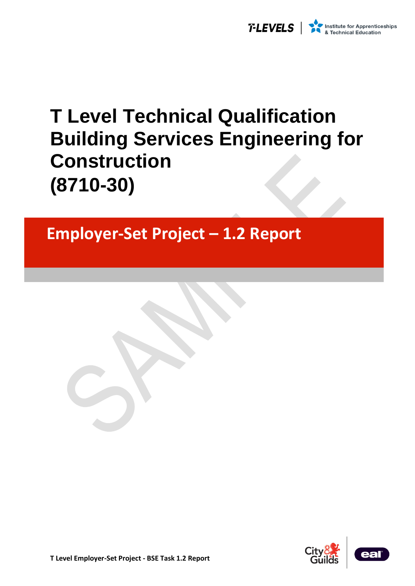

# **T Level Technical Qualification Building Services Engineering for Construction (8710-30)**

## **Employer-Set Project – 1.2 Report**



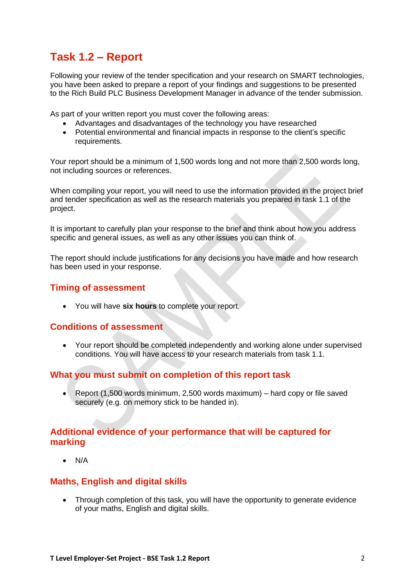### **Task 1.2 – Report**

Following your review of the tender specification and your research on SMART technologies, you have been asked to prepare a report of your findings and suggestions to be presented to the Rich Build PLC Business Development Manager in advance of the tender submission.

As part of your written report you must cover the following areas:

- Advantages and disadvantages of the technology you have researched
- Potential environmental and financial impacts in response to the client's specific requirements.

Your report should be a minimum of 1,500 words long and not more than 2,500 words long, not including sources or references.

When compiling your report, you will need to use the information provided in the project brief and tender specification as well as the research materials you prepared in task 1.1 of the project.

It is important to carefully plan your response to the brief and think about how you address specific and general issues, as well as any other issues you can think of.

The report should include justifications for any decisions you have made and how research has been used in your response.

#### **Timing of assessment**

• You will have **six hours** to complete your report.

#### **Conditions of assessment**

• Your report should be completed independently and working alone under supervised conditions. You will have access to your research materials from task 1.1.

#### **What you must submit on completion of this report task**

• Report (1,500 words minimum, 2,500 words maximum) – hard copy or file saved securely (e.g. on memory stick to be handed in).

#### **Additional evidence of your performance that will be captured for marking**

• N/A

#### **Maths, English and digital skills**

• Through completion of this task, you will have the opportunity to generate evidence of your maths, English and digital skills.